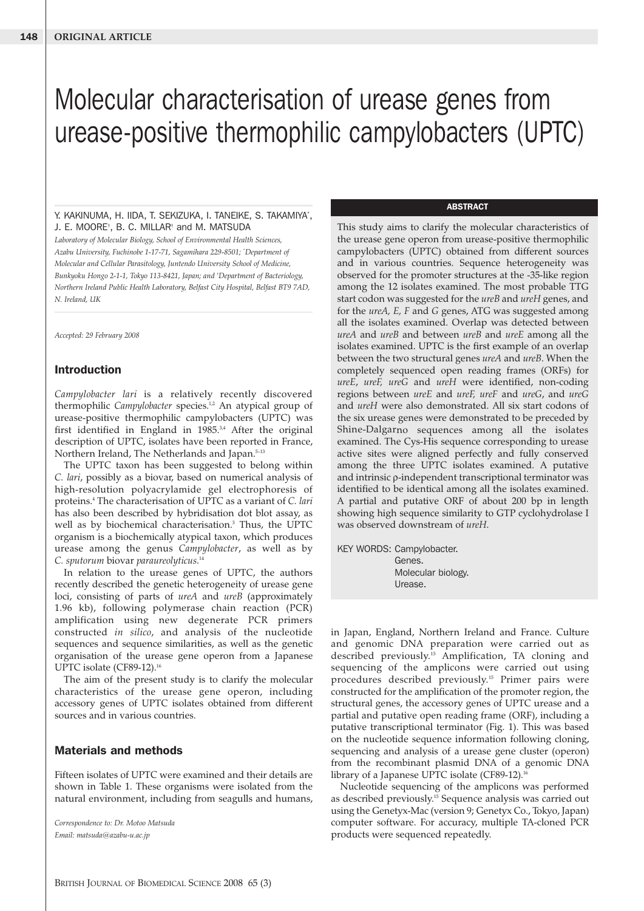# Molecular characterisation of urease genes from urease-positive thermophilic campylobacters (UPTC)

### Y. KAKINUMA, H. IIDA, T. SEKIZUKA, I. TANEIKE, S. TAKAMIYA\* , J. E. MOORE† , B. C. MILLAR† and M. MATSUDA

*Laboratory of Molecular Biology, School of Environmental Health Sciences, Azabu University, Fuchinobe 1-17-71, Sagamihara 229-8501; \* Department of Molecular and Cellular Parasitology, Juntendo University School of Medicine, Bunkyoku Hongo 2-1-1, Tokyo 113-8421, Japan; and † Department of Bacteriology, Northern Ireland Public Health Laboratory, Belfast City Hospital, Belfast BT9 7AD, N. Ireland, UK*

*Accepted: 29 February 2008*

# **Introduction**

*Campylobacter lari* is a relatively recently discovered thermophilic *Campylobacter* species.<sup>1,2</sup> An atypical group of urease-positive thermophilic campylobacters (UPTC) was first identified in England in  $1985^{3,4}$  After the original description of UPTC, isolates have been reported in France, Northern Ireland, The Netherlands and Japan.<sup>5-13</sup>

The UPTC taxon has been suggested to belong within *C. lari*, possibly as a biovar, based on numerical analysis of high-resolution polyacrylamide gel electrophoresis of proteins.4 The characterisation of UPTC as a variant of *C. lari* has also been described by hybridisation dot blot assay, as well as by biochemical characterisation.3 Thus, the UPTC organism is a biochemically atypical taxon, which produces urease among the genus *Campylobacter*, as well as by *C. sputorum* biovar *paraureolyticus*. 14

In relation to the urease genes of UPTC, the authors recently described the genetic heterogeneity of urease gene loci, consisting of parts of *ureA* and *ureB* (approximately 1.96 kb), following polymerase chain reaction (PCR) amplification using new degenerate PCR primers constructed *in silico*, and analysis of the nucleotide sequences and sequence similarities, as well as the genetic organisation of the urease gene operon from a Japanese UPTC isolate (CF89-12).<sup>16</sup>

The aim of the present study is to clarify the molecular characteristics of the urease gene operon, including accessory genes of UPTC isolates obtained from different sources and in various countries.

# **Materials and methods**

Fifteen isolates of UPTC were examined and their details are shown in Table 1. These organisms were isolated from the natural environment, including from seagulls and humans,

*Correspondence to: Dr. Motoo Matsuda Email: matsuda@azabu-u.ac.jp*

#### **ABSTRACT**

This study aims to clarify the molecular characteristics of the urease gene operon from urease-positive thermophilic campylobacters (UPTC) obtained from different sources and in various countries. Sequence heterogeneity was observed for the promoter structures at the -35-like region among the 12 isolates examined. The most probable TTG start codon was suggested for the *ureB* and *ureH* genes, and for the *ureA, E, F* and *G* genes, ATG was suggested among all the isolates examined. Overlap was detected between *ureA* and *ureB* and between *ureB* and *ureE* among all the isolates examined. UPTC is the first example of an overlap between the two structural genes *ureA* and *ureB*. When the completely sequenced open reading frames (ORFs) for *ureE*, *ureF, ureG* and *ureH* were identified, non-coding regions between *ureE* and *ureF, ureF* and *ureG*, and *ureG* and *ureH* were also demonstrated. All six start codons of the six urease genes were demonstrated to be preceded by Shine-Dalgarno sequences among all the isolates examined. The Cys-His sequence corresponding to urease active sites were aligned perfectly and fully conserved among the three UPTC isolates examined. A putative and intrinsic ρ-independent transcriptional terminator was identified to be identical among all the isolates examined. A partial and putative ORF of about 200 bp in length showing high sequence similarity to GTP cyclohydrolase I was observed downstream of *ureH*.

KEY WORDS: Campylobacter. Genes. Molecular biology. Urease.

in Japan, England, Northern Ireland and France. Culture and genomic DNA preparation were carried out as described previously.<sup>15</sup> Amplification, TA cloning and sequencing of the amplicons were carried out using procedures described previously. <sup>15</sup> Primer pairs were constructed for the amplification of the promoter region, the structural genes, the accessory genes of UPTC urease and a partial and putative open reading frame (ORF), including a putative transcriptional terminator (Fig. 1). This was based on the nucleotide sequence information following cloning, sequencing and analysis of a urease gene cluster (operon) from the recombinant plasmid DNA of a genomic DNA library of a Japanese UPTC isolate (CF89-12).<sup>16</sup>

Nucleotide sequencing of the amplicons was performed as described previously.15 Sequence analysis was carried out using the Genetyx-Mac (version 9; Genetyx Co., Tokyo, Japan) computer software. For accuracy, multiple TA-cloned PCR products were sequenced repeatedly.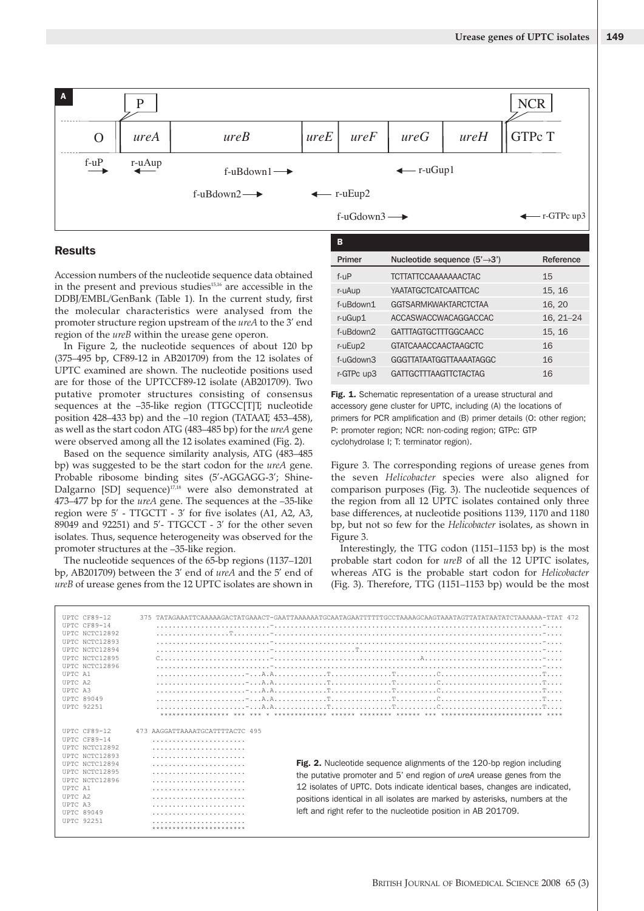

# **Results**

| в                   |                                           |               |  |  |
|---------------------|-------------------------------------------|---------------|--|--|
| Primer              | Nucleotide sequence $(5' \rightarrow 3')$ |               |  |  |
| f-uP                | <b>TCTTATTCCAAAAAAACTAC</b>               | 15            |  |  |
| r-uAup              | <b>YAATATGCTCATCAATTCAC</b>               | 15, 16        |  |  |
| f-uBdown1           | <b>GGTSARMKWAKTARCTCTAA</b>               | 16, 20        |  |  |
| r-uGup1             | ACCASWACCWACAGGACCAC                      | $16, 21 - 24$ |  |  |
| f-uBdown2           | <b>GATTTAGTGCTTTGGCAACC</b>               | 15, 16        |  |  |
| r-uEup <sub>2</sub> | <b>GTATCAAACCAACTAAGCTC</b>               | 16            |  |  |
| f-uGdown3           | <b>GGGTTATAATGGTTAAAATAGGC</b>            | 16            |  |  |
| r-GTPc up3          | <b>GATTGCTTTAAGTTCTACTAG</b>              | 16            |  |  |

|                                                            |                                                                                                  | в                                                                                                                                                                                                                                                                                                                                                                                                                                                                                                                                                                                                                                                                                                                                                                                                                                                                                                                                                                                                                                                                                                                                                                                                                                                                                                                                                                                                                                                                                                                                                                                                  |                                |                                                                                                                                                                                                                                                                                                                                                                                                                                                                                                                                                                                                                                                                                                                                                                                                                                                                                                                                                                                                                                                                                                                                                                                                                                                                                                                                                                                                                                                  |
|------------------------------------------------------------|--------------------------------------------------------------------------------------------------|----------------------------------------------------------------------------------------------------------------------------------------------------------------------------------------------------------------------------------------------------------------------------------------------------------------------------------------------------------------------------------------------------------------------------------------------------------------------------------------------------------------------------------------------------------------------------------------------------------------------------------------------------------------------------------------------------------------------------------------------------------------------------------------------------------------------------------------------------------------------------------------------------------------------------------------------------------------------------------------------------------------------------------------------------------------------------------------------------------------------------------------------------------------------------------------------------------------------------------------------------------------------------------------------------------------------------------------------------------------------------------------------------------------------------------------------------------------------------------------------------------------------------------------------------------------------------------------------------|--------------------------------|--------------------------------------------------------------------------------------------------------------------------------------------------------------------------------------------------------------------------------------------------------------------------------------------------------------------------------------------------------------------------------------------------------------------------------------------------------------------------------------------------------------------------------------------------------------------------------------------------------------------------------------------------------------------------------------------------------------------------------------------------------------------------------------------------------------------------------------------------------------------------------------------------------------------------------------------------------------------------------------------------------------------------------------------------------------------------------------------------------------------------------------------------------------------------------------------------------------------------------------------------------------------------------------------------------------------------------------------------------------------------------------------------------------------------------------------------|
|                                                            |                                                                                                  | Primer                                                                                                                                                                                                                                                                                                                                                                                                                                                                                                                                                                                                                                                                                                                                                                                                                                                                                                                                                                                                                                                                                                                                                                                                                                                                                                                                                                                                                                                                                                                                                                                             | Nucleotide sequence (5'→3')    | Reference                                                                                                                                                                                                                                                                                                                                                                                                                                                                                                                                                                                                                                                                                                                                                                                                                                                                                                                                                                                                                                                                                                                                                                                                                                                                                                                                                                                                                                        |
|                                                            |                                                                                                  | f-uP                                                                                                                                                                                                                                                                                                                                                                                                                                                                                                                                                                                                                                                                                                                                                                                                                                                                                                                                                                                                                                                                                                                                                                                                                                                                                                                                                                                                                                                                                                                                                                                               | <b>TCTTATTCCAAAAAAACTAC</b>    | 15                                                                                                                                                                                                                                                                                                                                                                                                                                                                                                                                                                                                                                                                                                                                                                                                                                                                                                                                                                                                                                                                                                                                                                                                                                                                                                                                                                                                                                               |
|                                                            |                                                                                                  | r-uAup                                                                                                                                                                                                                                                                                                                                                                                                                                                                                                                                                                                                                                                                                                                                                                                                                                                                                                                                                                                                                                                                                                                                                                                                                                                                                                                                                                                                                                                                                                                                                                                             | YAATATGCTCATCAATTCAC           | 15, 16                                                                                                                                                                                                                                                                                                                                                                                                                                                                                                                                                                                                                                                                                                                                                                                                                                                                                                                                                                                                                                                                                                                                                                                                                                                                                                                                                                                                                                           |
|                                                            |                                                                                                  | f-uBdown1                                                                                                                                                                                                                                                                                                                                                                                                                                                                                                                                                                                                                                                                                                                                                                                                                                                                                                                                                                                                                                                                                                                                                                                                                                                                                                                                                                                                                                                                                                                                                                                          | <b>GGTSARMKWAKTARCTCTAA</b>    | 16, 20                                                                                                                                                                                                                                                                                                                                                                                                                                                                                                                                                                                                                                                                                                                                                                                                                                                                                                                                                                                                                                                                                                                                                                                                                                                                                                                                                                                                                                           |
|                                                            |                                                                                                  | r-uGup1                                                                                                                                                                                                                                                                                                                                                                                                                                                                                                                                                                                                                                                                                                                                                                                                                                                                                                                                                                                                                                                                                                                                                                                                                                                                                                                                                                                                                                                                                                                                                                                            | ACCASWACCWACAGGACCAC           | $16, 21 - 24$                                                                                                                                                                                                                                                                                                                                                                                                                                                                                                                                                                                                                                                                                                                                                                                                                                                                                                                                                                                                                                                                                                                                                                                                                                                                                                                                                                                                                                    |
|                                                            |                                                                                                  | f-uBdown2                                                                                                                                                                                                                                                                                                                                                                                                                                                                                                                                                                                                                                                                                                                                                                                                                                                                                                                                                                                                                                                                                                                                                                                                                                                                                                                                                                                                                                                                                                                                                                                          | <b>GATTTAGTGCTTTGGCAACC</b>    | 15, 16                                                                                                                                                                                                                                                                                                                                                                                                                                                                                                                                                                                                                                                                                                                                                                                                                                                                                                                                                                                                                                                                                                                                                                                                                                                                                                                                                                                                                                           |
|                                                            |                                                                                                  |                                                                                                                                                                                                                                                                                                                                                                                                                                                                                                                                                                                                                                                                                                                                                                                                                                                                                                                                                                                                                                                                                                                                                                                                                                                                                                                                                                                                                                                                                                                                                                                                    | <b>GTATCAAACCAACTAAGCTC</b>    | 16                                                                                                                                                                                                                                                                                                                                                                                                                                                                                                                                                                                                                                                                                                                                                                                                                                                                                                                                                                                                                                                                                                                                                                                                                                                                                                                                                                                                                                               |
|                                                            |                                                                                                  | f-uGdown3                                                                                                                                                                                                                                                                                                                                                                                                                                                                                                                                                                                                                                                                                                                                                                                                                                                                                                                                                                                                                                                                                                                                                                                                                                                                                                                                                                                                                                                                                                                                                                                          | <b>GGGTTATAATGGTTAAAATAGGC</b> | 16                                                                                                                                                                                                                                                                                                                                                                                                                                                                                                                                                                                                                                                                                                                                                                                                                                                                                                                                                                                                                                                                                                                                                                                                                                                                                                                                                                                                                                               |
|                                                            |                                                                                                  | r-GTPc up3                                                                                                                                                                                                                                                                                                                                                                                                                                                                                                                                                                                                                                                                                                                                                                                                                                                                                                                                                                                                                                                                                                                                                                                                                                                                                                                                                                                                                                                                                                                                                                                         | <b>GATTGCTTTAAGTTCTACTAG</b>   | 16                                                                                                                                                                                                                                                                                                                                                                                                                                                                                                                                                                                                                                                                                                                                                                                                                                                                                                                                                                                                                                                                                                                                                                                                                                                                                                                                                                                                                                               |
|                                                            |                                                                                                  | Figure 3.                                                                                                                                                                                                                                                                                                                                                                                                                                                                                                                                                                                                                                                                                                                                                                                                                                                                                                                                                                                                                                                                                                                                                                                                                                                                                                                                                                                                                                                                                                                                                                                          |                                |                                                                                                                                                                                                                                                                                                                                                                                                                                                                                                                                                                                                                                                                                                                                                                                                                                                                                                                                                                                                                                                                                                                                                                                                                                                                                                                                                                                                                                                  |
| 473 AAGGATTAAAATGCATTTTACTC 495<br>*********************** |                                                                                                  |                                                                                                                                                                                                                                                                                                                                                                                                                                                                                                                                                                                                                                                                                                                                                                                                                                                                                                                                                                                                                                                                                                                                                                                                                                                                                                                                                                                                                                                                                                                                                                                                    |                                |                                                                                                                                                                                                                                                                                                                                                                                                                                                                                                                                                                                                                                                                                                                                                                                                                                                                                                                                                                                                                                                                                                                                                                                                                                                                                                                                                                                                                                                  |
|                                                            |                                                                                                  |                                                                                                                                                                                                                                                                                                                                                                                                                                                                                                                                                                                                                                                                                                                                                                                                                                                                                                                                                                                                                                                                                                                                                                                                                                                                                                                                                                                                                                                                                                                                                                                                    |                                |                                                                                                                                                                                                                                                                                                                                                                                                                                                                                                                                                                                                                                                                                                                                                                                                                                                                                                                                                                                                                                                                                                                                                                                                                                                                                                                                                                                                                                                  |
|                                                            | region of the ureB within the urease gene operon.<br>promoter structures at the -35-like region. | Accession numbers of the nucleotide sequence data obtained<br>in the present and previous studies <sup>15,16</sup> are accessible in the<br>DDBJ/EMBL/GenBank (Table 1). In the current study, first<br>the molecular characteristics were analysed from the<br>promoter structure region upstream of the ureA to the 3' end<br>In Figure 2, the nucleotide sequences of about 120 bp<br>(375-495 bp, CF89-12 in AB201709) from the 12 isolates of<br>UPTC examined are shown. The nucleotide positions used<br>are for those of the UPTCCF89-12 isolate (AB201709). Two<br>putative promoter structures consisting of consensus<br>sequences at the -35-like region (TTGCC[T]T; nucleotide<br>position 428–433 bp) and the -10 region (TATAAT; 453–458),<br>as well as the start codon ATG (483–485 bp) for the ureA gene<br>were observed among all the 12 isolates examined (Fig. 2).<br>Based on the sequence similarity analysis, ATG (483-485<br>bp) was suggested to be the start codon for the ureA gene.<br>Probable ribosome binding sites (5'-AGGAGG-3'; Shine-<br>Dalgarno [SD] sequence) <sup>17,18</sup> were also demonstrated at<br>473–477 bp for the ureA gene. The sequences at the -35-like<br>region were 5' - TTGCTT - 3' for five isolates (A1, A2, A3,<br>89049 and 92251) and 5'- TTGCCT - 3' for the other seven<br>isolates. Thus, sequence heterogeneity was observed for the<br>The nucleotide sequences of the 65-bp regions (1137-1201<br>bp, AB201709) between the 3' end of ureA and the 5' end of<br>ureB of urease genes from the 12 UPTC isolates are shown in | r-uEup2                        | Fig. 1. Schematic representation of a urease structural and<br>accessory gene cluster for UPTC, including (A) the locations of<br>primers for PCR amplification and (B) primer details (O: other region;<br>P: promoter region; NCR: non-coding region; GTPc: GTP<br>cyclohydrolase I; T: terminator region).<br>Figure 3. The corresponding regions of urease genes fron<br>the seven Helicobacter species were also aligned for<br>comparison purposes (Fig. 3). The nucleotide sequences o<br>the region from all 12 UPTC isolates contained only three<br>base differences, at nucleotide positions 1139, 1170 and 118<br>bp, but not so few for the Helicobacter isolates, as shown in<br>Interestingly, the TTG codon (1151-1153 bp) is the mos<br>probable start codon for ureB of all the 12 UPTC isolates<br>whereas ATG is the probable start codon for Helicobacte<br>(Fig. 3). Therefore, TTG (1151-1153 bp) would be the mos<br>375 TATAGAAATTCAAAAAGACTATGAAACT-GAATTAAAAAATGCAATAGAATTTTTTGCCTAAAAGCAAGTAAATAGTTATATAATATCTAAAAAA-TTAT 472<br>Fig. 2. Nucleotide sequence alignments of the 120-bp region including<br>the putative promoter and 5' end region of <i>ureA</i> urease genes from the<br>12 isolates of UPTC. Dots indicate identical bases, changes are indicated,<br>positions identical in all isolates are marked by asterisks, numbers at the<br>left and right refer to the nucleotide position in AB 201709. |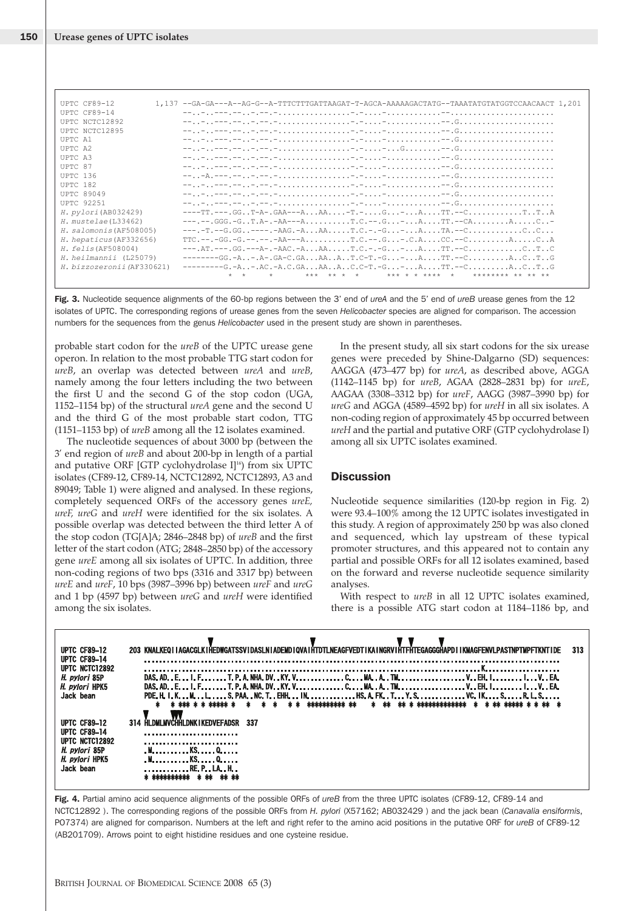| Urease genes of UPTC isolates                        |                                                                                                                           |                                                                                                                                                |
|------------------------------------------------------|---------------------------------------------------------------------------------------------------------------------------|------------------------------------------------------------------------------------------------------------------------------------------------|
|                                                      |                                                                                                                           |                                                                                                                                                |
|                                                      |                                                                                                                           |                                                                                                                                                |
|                                                      |                                                                                                                           |                                                                                                                                                |
| UPTC CF89-12<br>UPTC CF89-14                         |                                                                                                                           | 1,137 --GA-GA---A--AG-G--A-TTTCTTTGATTAAGAT-T-AGCA-AAAAAGACTATG--TAAATATGTATGGTCCAACAACT 1,201                                                 |
| UPTC NCTC12892<br>UPTC NCTC12895                     |                                                                                                                           |                                                                                                                                                |
| UPTC A1                                              |                                                                                                                           |                                                                                                                                                |
| UPTC A2<br>UPTC A3                                   |                                                                                                                           |                                                                                                                                                |
| UPTC 87                                              |                                                                                                                           |                                                                                                                                                |
| UPTC 136<br>UPTC 182                                 |                                                                                                                           |                                                                                                                                                |
| <b>UPTC 89049</b>                                    |                                                                                                                           |                                                                                                                                                |
| <b>UPTC 92251</b>                                    |                                                                                                                           |                                                                                                                                                |
| H. pylori (AB032429)<br>H. mustelae(L33462)          |                                                                                                                           | ----TT.---.GGT-A-.GAA---AAA-T.-G-ATT.--CTTA<br>---.--.GGG.-GT.A-.-AA---AT.C.--.G-ATT.--CAAC-                                                   |
| H. salomonis (AF508005)                              |                                                                                                                           | ---.-T.--G.GG----.-AAG.-AAAT.C.-.-G-ATA.--CCC                                                                                                  |
| H. hepaticus (AF332656)                              |                                                                                                                           | $TC. --.-GG.-G. --.-A---AA---A. T.C. --. G. -. C.A. CC.--C. A. C. . A$                                                                         |
| <i>H. felis</i> (AF508004)                           |                                                                                                                           | ---.AT.---.GG.---A-.-AAC.-AAAT.C.-.-G-ATT.--CCTC<br>-------GG.-A-.A-.GA-C.GAAAAT.C-T.-G-ATT.--CACTG                                            |
| H. heilmannii (L25079)<br>H. bizzozeronii (AF330621) | $\star$ $\star$                                                                                                           | --------G.-A-.AC.-A.C.GAAAAC.C-T.-G-ATT.--CACTG<br>$\star\star\star\quad\star\star\quad\star\quad\star$<br>*** * * **** *<br>******** ** ** ** |
|                                                      |                                                                                                                           |                                                                                                                                                |
|                                                      |                                                                                                                           | Fig. 3. Nucleotide sequence alignments of the 60-bp regions between the 3' end of ureA and the 5' end of ureB urease genes from the 12         |
|                                                      | numbers for the sequences from the genus Helicobacter used in the present study are shown in parentheses.                 | isolates of UPTC. The corresponding regions of urease genes from the seven Helicobacter species are aligned for comparison. The accession      |
|                                                      |                                                                                                                           |                                                                                                                                                |
|                                                      | probable start codon for the ureB of the UPTC urease gene<br>operon. In relation to the most probable TTG start codon for | In the present study, all six start codons for the six urease<br>genes were preceded by Shine-Dalgarno (SD) sequences:                         |
|                                                      | ureB, an overlap was detected between ureA and ureB,                                                                      | AAGGA (473-477 bp) for ureA, as described above, AGGA                                                                                          |
|                                                      | namely among the four letters including the two between<br>the first U and the second G of the stop codon (UGA,           | (1142–1145 bp) for <i>ureB</i> , AGAA (2828–2831 bp) for <i>ureE</i> ,<br>AAGAA (3308-3312 bp) for ureF, AAGG (3987-3990 bp) for               |
|                                                      | 1152–1154 bp) of the structural ureA gene and the second U                                                                | ureG and AGGA (4589–4592 bp) for ureH in all six isolates. A                                                                                   |

probable start codon for the *ureB* of the UPTC urease gene operon. In relation to the most probable TTG start codon for *ureB*, an overlap was detected between *ureA* and *ureB*, namely among the four letters including the two between the first U and the second G of the stop codon (UGA, 1152–1154 bp) of the structural *ureA* gene and the second U and the third G of the most probable start codon, TTG (1151–1153 bp) of *ureB* among all the 12 isolates examined.

The nucleotide sequences of about 3000 bp (between the 3' end region of *ureB* and about 200-bp in length of a partial and putative ORF [GTP cyclohydrolase  $I]^{16}$ ) from six UPTC isolates (CF89-12, CF89-14, NCTC12892, NCTC12893, A3 and 89049; Table 1) were aligned and analysed. In these regions, completely sequenced ORFs of the accessory genes *ureE, ureF, ureG* and *ureH* were identified for the six isolates. A possible overlap was detected between the third letter A of the stop codon (TG[A]A; 2846–2848 bp) of *ureB* and the first letter of the start codon (ATG; 2848–2850 bp) of the accessory gene *ureE* among all six isolates of UPTC. In addition, three non-coding regions of two bps (3316 and 3317 bp) between *ureE* and *ureF*, 10 bps (3987–3996 bp) between *ureF* and *ureG* and 1 bp (4597 bp) between *ureG* and *ureH* were identified among the six isolates.

In the present study, all six start codons for the six urease genes were preceded by Shine-Dalgarno (SD) sequences: AAGGA (473–477 bp) for *ureA*, as described above, AGGA (1142–1145 bp) for *ureB*, AGAA (2828–2831 bp) for *ureE*, AAGAA (3308–3312 bp) for *ureF*, AAGG (3987–3990 bp) for *ureG* and AGGA (4589–4592 bp) for *ureH* in all six isolates. A non-coding region of approximately 45 bp occurred between *ureH* and the partial and putative ORF (GTP cyclohydrolase I) among all six UPTC isolates examined.

## **Discussion**

Nucleotide sequence similarities (120-bp region in Fig. 2) were 93.4–100% among the 12 UPTC isolates investigated in this study. A region of approximately 250 bp was also cloned and sequenced, which lay upstream of these typical promoter structures, and this appeared not to contain any partial and possible ORFs for all 12 isolates examined, based on the forward and reverse nucleotide sequence similarity analyses.

With respect to *ureB* in all 12 UPTC isolates examined, there is a possible ATG start codon at 1184–1186 bp, and



**Fig. 4.** Partial amino acid sequence alignments of the possible ORFs of *ureB* from the three UPTC isolates (CF89-12, CF89-14 and NCTC12892 ). The corresponding regions of the possible ORFs from *H. pylori* (X57162; AB032429 ) and the jack bean (*Canavalia ensiformis*, PO7374) are aligned for comparison. Numbers at the left and right refer to the amino acid positions in the putative ORF for *ureB* of CF89-12 (AB201709). Arrows point to eight histidine residues and one cysteine residue.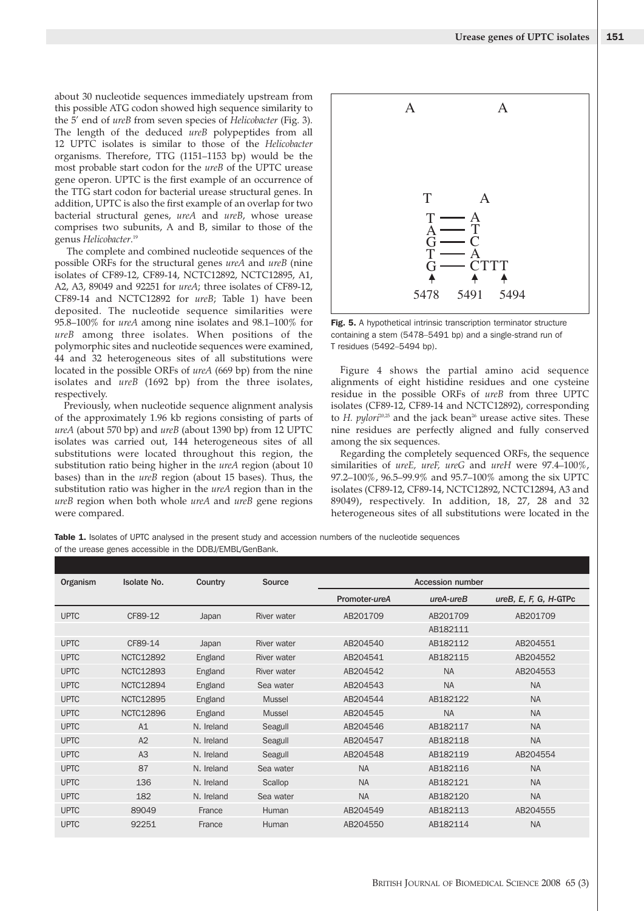about 30 nucleotide sequences immediately upstream from this possible ATG codon showed high sequence similarity to the 5' end of *ureB* from seven species of *Helicobacter* (Fig. 3). The length of the deduced *ureB* polypeptides from all 12 UPTC isolates is similar to those of the *Helicobacter* organisms. Therefore, TTG (1151–1153 bp) would be the most probable start codon for the *ureB* of the UPTC urease gene operon. UPTC is the first example of an occurrence of the TTG start codon for bacterial urease structural genes. In addition, UPTC is also the first example of an overlap for two bacterial structural genes, *ureA* and *ureB*, whose urease comprises two subunits, A and B, similar to those of the genus *Helicobacter*. 19

The complete and combined nucleotide sequences of the possible ORFs for the structural genes *ureA* and *ureB* (nine isolates of CF89-12, CF89-14, NCTC12892, NCTC12895, A1, A2, A3, 89049 and 92251 for *ureA*; three isolates of CF89-12, CF89-14 and NCTC12892 for *ureB*; Table 1) have been deposited. The nucleotide sequence similarities were 95.8–100% for *ureA* among nine isolates and 98.1–100% for *ureB* among three isolates. When positions of the polymorphic sites and nucleotide sequences were examined, 44 and 32 heterogeneous sites of all substitutions were located in the possible ORFs of *ureA* (669 bp) from the nine isolates and *ureB* (1692 bp) from the three isolates, respectively.

Previously, when nucleotide sequence alignment analysis of the approximately 1.96 kb regions consisting of parts of *ureA* (about 570 bp) and *ureB* (about 1390 bp) from 12 UPTC isolates was carried out, 144 heterogeneous sites of all substitutions were located throughout this region, the substitution ratio being higher in the *ureA* region (about 10 bases) than in the *ureB* region (about 15 bases). Thus, the substitution ratio was higher in the *ureA* region than in the *ureB* region when both whole *ureA* and *ureB* gene regions were compared.



**Fig. 5.** A hypothetical intrinsic transcription terminator structure containing a stem (5478–5491 bp) and a single-strand run of T residues (5492–5494 bp).

Figure 4 shows the partial amino acid sequence alignments of eight histidine residues and one cysteine residue in the possible ORFs of *ureB* from three UPTC isolates (CF89-12, CF89-14 and NCTC12892), corresponding to *H. pylori<sup>20,25</sup>* and the jack bean<sup>26</sup> urease active sites. These nine residues are perfectly aligned and fully conserved among the six sequences.

Regarding the completely sequenced ORFs, the sequence similarities of *ureE, ureF, ureG* and *ureH* were 97.4–100%, 97.2–100%, 96.5–99.9% and 95.7–100% among the six UPTC isolates (CF89-12, CF89-14, NCTC12892, NCTC12894, A3 and 89049), respectively. In addition, 18, 27, 28 and 32 heterogeneous sites of all substitutions were located in the

Table 1. Isolates of UPTC analysed in the present study and accession numbers of the nucleotide sequences of the urease genes accessible in the DDBJ/EMBL/GenBank.

| Organism    | Isolate No.      | Country    | Source             |               | <b>Accession number</b> |                         |  |
|-------------|------------------|------------|--------------------|---------------|-------------------------|-------------------------|--|
|             |                  |            |                    | Promoter-ureA | $ureA-ureB$             | $ureB, E, F, G, H-GTPc$ |  |
| <b>UPTC</b> | CF89-12          | Japan      | <b>River water</b> | AB201709      | AB201709                | AB201709                |  |
|             |                  |            |                    |               | AB182111                |                         |  |
| <b>UPTC</b> | CF89-14          | Japan      | River water        | AB204540      | AB182112                | AB204551                |  |
| <b>UPTC</b> | <b>NCTC12892</b> | England    | River water        | AB204541      | AB182115                | AB204552                |  |
| <b>UPTC</b> | <b>NCTC12893</b> | England    | River water        | AB204542      | <b>NA</b>               | AB204553                |  |
| <b>UPTC</b> | <b>NCTC12894</b> | England    | Sea water          | AB204543      | <b>NA</b>               | <b>NA</b>               |  |
| <b>UPTC</b> | <b>NCTC12895</b> | England    | Mussel             | AB204544      | AB182122                | <b>NA</b>               |  |
| <b>UPTC</b> | <b>NCTC12896</b> | England    | Mussel             | AB204545      | <b>NA</b>               | <b>NA</b>               |  |
| <b>UPTC</b> | A1               | N. Ireland | Seagull            | AB204546      | AB182117                | <b>NA</b>               |  |
| <b>UPTC</b> | A2               | N. Ireland | Seagull            | AB204547      | AB182118                | <b>NA</b>               |  |
| <b>UPTC</b> | A3               | N. Ireland | Seagull            | AB204548      | AB182119                | AB204554                |  |
| <b>UPTC</b> | 87               | N. Ireland | Sea water          | <b>NA</b>     | AB182116                | <b>NA</b>               |  |
| <b>UPTC</b> | 136              | N. Ireland | Scallop            | <b>NA</b>     | AB182121                | <b>NA</b>               |  |
| <b>UPTC</b> | 182              | N. Ireland | Sea water          | <b>NA</b>     | AB182120                | <b>NA</b>               |  |
| <b>UPTC</b> | 89049            | France     | Human              | AB204549      | AB182113                | AB204555                |  |
| <b>UPTC</b> | 92251            | France     | Human              | AB204550      | AB182114                | <b>NA</b>               |  |